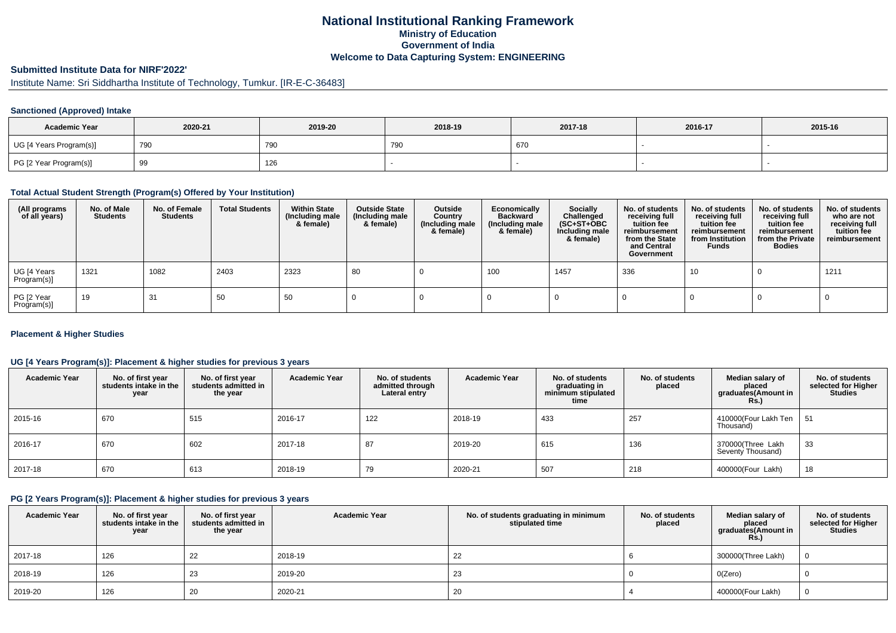### **National Institutional Ranking FrameworkMinistry of Education Government of IndiaWelcome to Data Capturing System: ENGINEERING**

# **Submitted Institute Data for NIRF'2022'**

Institute Name: Sri Siddhartha Institute of Technology, Tumkur. [IR-E-C-36483]

#### **Sanctioned (Approved) Intake**

| <b>Academic Year</b>    | 2020-21  | 2019-20 | 2018-19 | 2017-18 | 2016-17 | 2015-16 |
|-------------------------|----------|---------|---------|---------|---------|---------|
| UG [4 Years Program(s)] | 790      | 790     | 790     | 670     |         |         |
| PG [2 Year Program(s)]  | ാ<br>ູບບ | 126     |         |         |         |         |

#### **Total Actual Student Strength (Program(s) Offered by Your Institution)**

| (All programs<br>of all years) | No. of Male<br><b>Students</b> | No. of Female<br><b>Students</b> | <b>Total Students</b> | <b>Within State</b><br>(Including male<br>& female) | <b>Outside State</b><br>(Including male<br>& female) | Outside<br>Country<br>(Including male<br>& female) | Economically<br><b>Backward</b><br>(Including male<br>& female) | Socially<br>Challenged<br>$(SC+ST+OBC)$<br>Including male<br>& female) | No. of students<br>receiving full<br>tuition fee<br>reimbursement<br>from the State<br>and Central<br>Government | No. of students<br>receiving full<br>tuition fee<br>reimbursement<br>from Institution<br><b>Funds</b> | No. of students<br>receiving full<br>tuition fee<br>reimbursement<br>from the Private<br><b>Bodies</b> | No. of students<br>who are not<br>receiving full<br>tuition fee<br>reimbursement |
|--------------------------------|--------------------------------|----------------------------------|-----------------------|-----------------------------------------------------|------------------------------------------------------|----------------------------------------------------|-----------------------------------------------------------------|------------------------------------------------------------------------|------------------------------------------------------------------------------------------------------------------|-------------------------------------------------------------------------------------------------------|--------------------------------------------------------------------------------------------------------|----------------------------------------------------------------------------------|
| UG [4 Years<br>Program(s)]     | 1321                           | 1082                             | 2403                  | 2323                                                | 80                                                   |                                                    | 100                                                             | 1457                                                                   | 336                                                                                                              | 10                                                                                                    |                                                                                                        | 1211                                                                             |
| PG [2 Year<br>Program(s)]      | 19                             | 31                               | 50                    | 50                                                  |                                                      |                                                    |                                                                 |                                                                        |                                                                                                                  |                                                                                                       |                                                                                                        |                                                                                  |

#### **Placement & Higher Studies**

#### **UG [4 Years Program(s)]: Placement & higher studies for previous 3 years**

| <b>Academic Year</b> | No. of first year<br>students intake in the<br>year | No. of first vear<br>students admitted in<br>the year | <b>Academic Year</b> | No. of students<br>admitted through<br>Lateral entry | <b>Academic Year</b> | No. of students<br>graduating in<br>minimum stipulated<br>time | No. of students<br>placed | Median salary of<br>placed<br>graduates(Amount in<br>Rs. | No. of students<br>selected for Higher<br><b>Studies</b> |
|----------------------|-----------------------------------------------------|-------------------------------------------------------|----------------------|------------------------------------------------------|----------------------|----------------------------------------------------------------|---------------------------|----------------------------------------------------------|----------------------------------------------------------|
| 2015-16              | 670                                                 | 515                                                   | 2016-17              | 122                                                  | 2018-19              | 433                                                            | 257                       | 410000(Four Lakh Ten<br>Thousand)                        | 51                                                       |
| 2016-17              | 670                                                 | 602                                                   | 2017-18              | 87                                                   | 2019-20              | 615                                                            | 136                       | 370000(Three Lakh<br>Seventy Thousand)                   | 33                                                       |
| 2017-18              | 670                                                 | 613                                                   | 2018-19              | 79                                                   | 2020-21              | 507                                                            | 218                       | 400000(Four Lakh)                                        | 18                                                       |

### **PG [2 Years Program(s)]: Placement & higher studies for previous 3 years**

| <b>Academic Year</b> | No. of first year<br>students intake in the<br>year | No. of first year<br>students admitted in<br>the year | <b>Academic Year</b> | No. of students graduating in minimum<br>stipulated time | No. of students<br>placed | Median salarv of<br>placed<br>graduates(Amount in<br><b>Rs.)</b> | No. of students<br>selected for Higher<br>Studies |
|----------------------|-----------------------------------------------------|-------------------------------------------------------|----------------------|----------------------------------------------------------|---------------------------|------------------------------------------------------------------|---------------------------------------------------|
| 2017-18              | 126                                                 | 22                                                    | 2018-19              | 22                                                       |                           | 300000(Three Lakh)                                               |                                                   |
| 2018-19              | 126                                                 | 23                                                    | 2019-20              | 23                                                       |                           | O(Zero)                                                          |                                                   |
| 2019-20              | 126                                                 | 20                                                    | 2020-21              | 20                                                       |                           | 400000(Four Lakh)                                                |                                                   |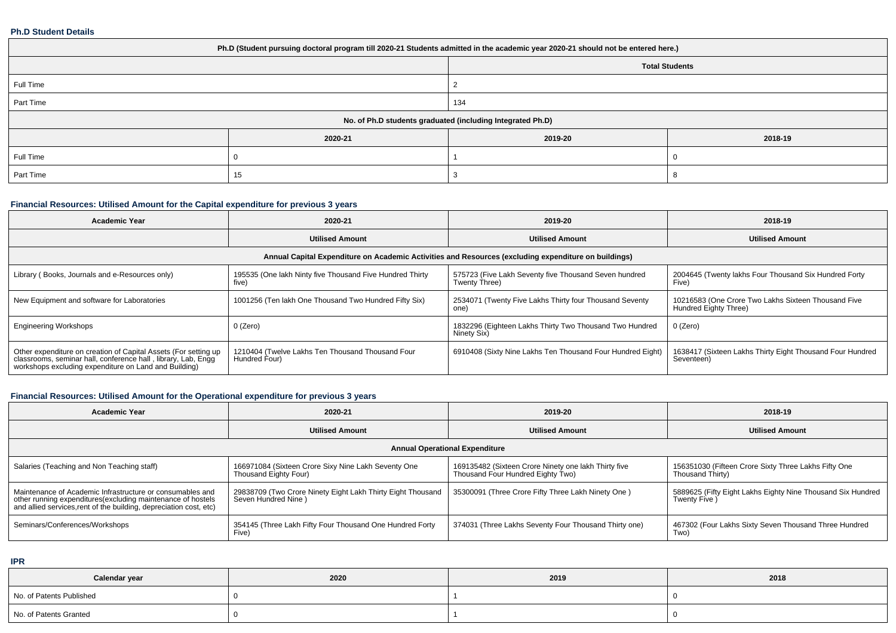#### **Ph.D Student Details**

| Ph.D (Student pursuing doctoral program till 2020-21 Students admitted in the academic year 2020-21 should not be entered here.) |         |         |         |  |  |  |  |
|----------------------------------------------------------------------------------------------------------------------------------|---------|---------|---------|--|--|--|--|
| <b>Total Students</b>                                                                                                            |         |         |         |  |  |  |  |
| Full Time                                                                                                                        |         |         |         |  |  |  |  |
| Part Time                                                                                                                        |         | 134     |         |  |  |  |  |
| No. of Ph.D students graduated (including Integrated Ph.D)                                                                       |         |         |         |  |  |  |  |
|                                                                                                                                  | 2020-21 | 2019-20 | 2018-19 |  |  |  |  |
| Full Time                                                                                                                        |         |         |         |  |  |  |  |
| Part Time                                                                                                                        | 15      |         |         |  |  |  |  |

# **Financial Resources: Utilised Amount for the Capital expenditure for previous 3 years**

| <b>Academic Year</b>                                                                                                                                                                      | 2020-21                                                           | 2019-20                                                                | 2018-19                                                                      |  |  |  |  |  |  |
|-------------------------------------------------------------------------------------------------------------------------------------------------------------------------------------------|-------------------------------------------------------------------|------------------------------------------------------------------------|------------------------------------------------------------------------------|--|--|--|--|--|--|
|                                                                                                                                                                                           | <b>Utilised Amount</b>                                            | <b>Utilised Amount</b>                                                 | <b>Utilised Amount</b>                                                       |  |  |  |  |  |  |
| Annual Capital Expenditure on Academic Activities and Resources (excluding expenditure on buildings)                                                                                      |                                                                   |                                                                        |                                                                              |  |  |  |  |  |  |
| Library (Books, Journals and e-Resources only)                                                                                                                                            | 195535 (One lakh Ninty five Thousand Five Hundred Thirty<br>five) | 575723 (Five Lakh Seventy five Thousand Seven hundred<br>Twenty Three) | 2004645 (Twenty lakhs Four Thousand Six Hundred Forty<br>Five)               |  |  |  |  |  |  |
| New Equipment and software for Laboratories                                                                                                                                               | 1001256 (Ten lakh One Thousand Two Hundred Fifty Six)             | 2534071 (Twenty Five Lakhs Thirty four Thousand Seventy<br>one)        | 10216583 (One Crore Two Lakhs Sixteen Thousand Five<br>Hundred Eighty Three) |  |  |  |  |  |  |
| <b>Engineering Workshops</b>                                                                                                                                                              | 0 (Zero)                                                          | 1832296 (Eighteen Lakhs Thirty Two Thousand Two Hundred<br>Ninety Six) | $0$ (Zero)                                                                   |  |  |  |  |  |  |
| Other expenditure on creation of Capital Assets (For setting up<br>classrooms, seminar hall, conference hall, library, Lab, Engq<br>workshops excluding expenditure on Land and Building) | 1210404 (Twelve Lakhs Ten Thousand Thousand Four<br>Hundred Four) | 6910408 (Sixty Nine Lakhs Ten Thousand Four Hundred Eight)             | 1638417 (Sixteen Lakhs Thirty Eight Thousand Four Hundred<br>Seventeen)      |  |  |  |  |  |  |

# **Financial Resources: Utilised Amount for the Operational expenditure for previous 3 years**

| Academic Year                                                                                                                                                                                   | 2020-21                                                                            | 2019-20                                                                                   | 2018-19                                                                    |  |  |  |  |  |  |
|-------------------------------------------------------------------------------------------------------------------------------------------------------------------------------------------------|------------------------------------------------------------------------------------|-------------------------------------------------------------------------------------------|----------------------------------------------------------------------------|--|--|--|--|--|--|
|                                                                                                                                                                                                 | <b>Utilised Amount</b>                                                             | <b>Utilised Amount</b>                                                                    | <b>Utilised Amount</b>                                                     |  |  |  |  |  |  |
| <b>Annual Operational Expenditure</b>                                                                                                                                                           |                                                                                    |                                                                                           |                                                                            |  |  |  |  |  |  |
| Salaries (Teaching and Non Teaching staff)                                                                                                                                                      | 166971084 (Sixteen Crore Sixy Nine Lakh Seventy One<br>Thousand Eighty Four)       | 169135482 (Sixteen Crore Ninety one lakh Thirty five<br>Thousand Four Hundred Eighty Two) | 156351030 (Fifteen Crore Sixty Three Lakhs Fifty One<br>Thousand Thirty)   |  |  |  |  |  |  |
| Maintenance of Academic Infrastructure or consumables and<br>other running expenditures (excluding maintenance of hostels<br>and allied services, rent of the building, depreciation cost, etc) | 29838709 (Two Crore Ninety Eight Lakh Thirty Eight Thousand<br>Seven Hundred Nine) | 35300091 (Three Crore Fifty Three Lakh Ninety One)                                        | 5889625 (Fifty Eight Lakhs Eighty Nine Thousand Six Hundred<br>Twenty Five |  |  |  |  |  |  |
| Seminars/Conferences/Workshops                                                                                                                                                                  | 354145 (Three Lakh Fifty Four Thousand One Hundred Forty<br>Five)                  | 374031 (Three Lakhs Seventy Four Thousand Thirty one)                                     | 467302 (Four Lakhs Sixty Seven Thousand Three Hundred<br>Two)              |  |  |  |  |  |  |

**IPR**

| Calendar year            | 2020 | 2019 | 2018 |
|--------------------------|------|------|------|
| No. of Patents Published |      |      |      |
| No. of Patents Granted   |      |      |      |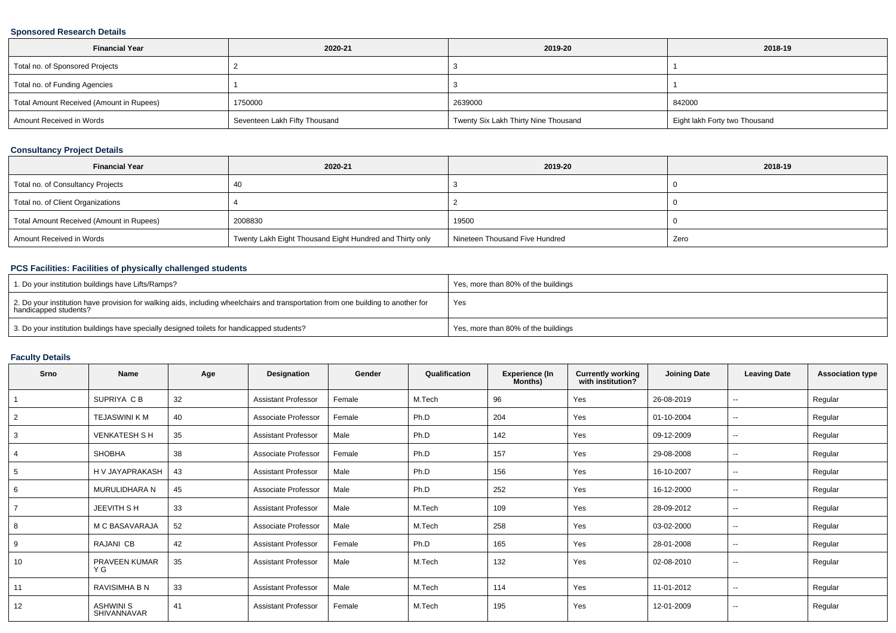### **Sponsored Research Details**

| <b>Financial Year</b>                    | 2020-21                       | 2019-20                              | 2018-19                       |
|------------------------------------------|-------------------------------|--------------------------------------|-------------------------------|
| Total no. of Sponsored Projects          |                               |                                      |                               |
| Total no. of Funding Agencies            |                               |                                      |                               |
| Total Amount Received (Amount in Rupees) | 1750000                       | 2639000                              | 842000                        |
| Amount Received in Words                 | Seventeen Lakh Fifty Thousand | Twenty Six Lakh Thirty Nine Thousand | Eight lakh Forty two Thousand |

### **Consultancy Project Details**

| <b>Financial Year</b>                    | 2020-21                                                  | 2019-20                        | 2018-19 |
|------------------------------------------|----------------------------------------------------------|--------------------------------|---------|
| Total no. of Consultancy Projects        | -40                                                      |                                |         |
| Total no. of Client Organizations        |                                                          |                                |         |
| Total Amount Received (Amount in Rupees) | 2008830                                                  | 19500                          |         |
| Amount Received in Words                 | Twenty Lakh Eight Thousand Eight Hundred and Thirty only | Nineteen Thousand Five Hundred | Zero    |

### **PCS Facilities: Facilities of physically challenged students**

| 1. Do your institution buildings have Lifts/Ramps?                                                                                                         | Yes, more than 80% of the buildings |
|------------------------------------------------------------------------------------------------------------------------------------------------------------|-------------------------------------|
| 2. Do your institution have provision for walking aids, including wheelchairs and transportation from one building to another for<br>handicapped students? | Yes                                 |
| 3. Do your institution buildings have specially designed toilets for handicapped students?                                                                 | Yes, more than 80% of the buildings |

# **Faculty Details**

| Srno           | Name                            | Age | Designation                | Gender | Qualification | <b>Experience (In</b><br>Months) | <b>Currently working</b><br>with institution? | <b>Joining Date</b> | <b>Leaving Date</b>      | <b>Association type</b> |
|----------------|---------------------------------|-----|----------------------------|--------|---------------|----------------------------------|-----------------------------------------------|---------------------|--------------------------|-------------------------|
|                | SUPRIYA C B                     | 32  | <b>Assistant Professor</b> | Female | M.Tech        | 96                               | Yes                                           | 26-08-2019          | $\overline{\phantom{a}}$ | Regular                 |
| $\overline{2}$ | <b>TEJASWINI K M</b>            | 40  | Associate Professor        | Female | Ph.D          | 204                              | Yes                                           | 01-10-2004          | $\sim$                   | Regular                 |
| 3              | <b>VENKATESH S H</b>            | 35  | <b>Assistant Professor</b> | Male   | Ph.D          | 142                              | Yes                                           | 09-12-2009          | $\overline{\phantom{a}}$ | Regular                 |
| 4              | <b>SHOBHA</b>                   | 38  | Associate Professor        | Female | Ph.D          | 157                              | Yes                                           | 29-08-2008          | $\sim$                   | Regular                 |
| 5              | H V JAYAPRAKASH                 | 43  | <b>Assistant Professor</b> | Male   | Ph.D          | 156                              | Yes                                           | 16-10-2007          | $\sim$                   | Regular                 |
| 6              | MURULIDHARA N                   | 45  | Associate Professor        | Male   | Ph.D          | 252                              | Yes                                           | 16-12-2000          | $\sim$                   | Regular                 |
| $\overline{7}$ | <b>JEEVITH S H</b>              | 33  | <b>Assistant Professor</b> | Male   | M.Tech        | 109                              | Yes                                           | 28-09-2012          | $\sim$                   | Regular                 |
| 8              | M C BASAVARAJA                  | 52  | Associate Professor        | Male   | M.Tech        | 258                              | Yes                                           | 03-02-2000          | $\sim$                   | Regular                 |
| 9              | RAJANI CB                       | 42  | <b>Assistant Professor</b> | Female | Ph.D          | 165                              | Yes                                           | 28-01-2008          | $\sim$                   | Regular                 |
| 10             | PRAVEEN KUMAR<br>Y G            | 35  | <b>Assistant Professor</b> | Male   | M.Tech        | 132                              | Yes                                           | 02-08-2010          | $\sim$                   | Regular                 |
| 11             | RAVISIMHA B N                   | 33  | <b>Assistant Professor</b> | Male   | M.Tech        | 114                              | Yes                                           | 11-01-2012          | $\sim$                   | Regular                 |
| 12             | <b>ASHWINI S</b><br>SHIVANNAVAR | 41  | <b>Assistant Professor</b> | Female | M.Tech        | 195                              | Yes                                           | 12-01-2009          | $\sim$                   | Regular                 |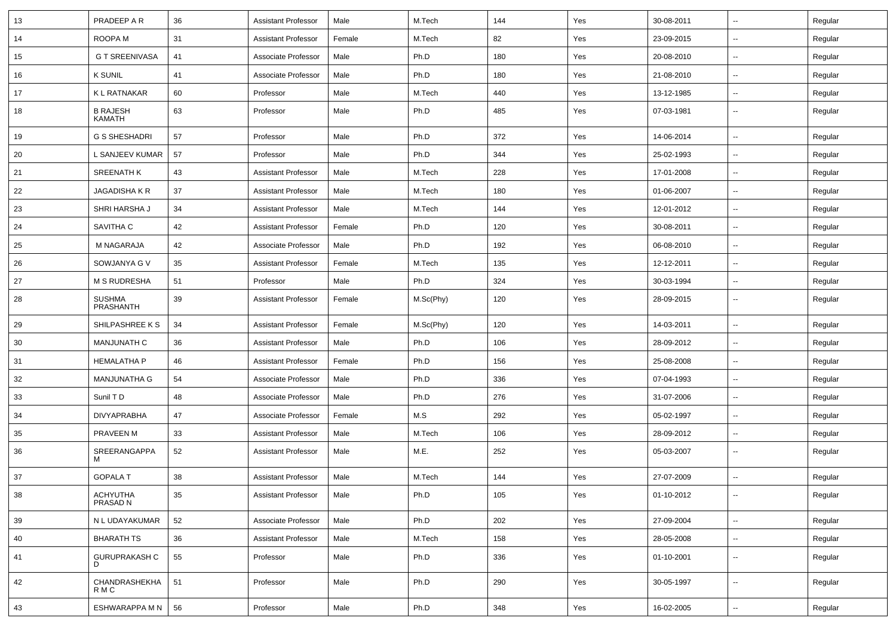| 13 | PRADEEP A R                | 36 | <b>Assistant Professor</b> | Male   | M.Tech    | 144 | Yes | 30-08-2011 | $\overline{\phantom{a}}$ | Regular |
|----|----------------------------|----|----------------------------|--------|-----------|-----|-----|------------|--------------------------|---------|
| 14 | ROOPA M                    | 31 | <b>Assistant Professor</b> | Female | M.Tech    | 82  | Yes | 23-09-2015 | ⊷.                       | Regular |
| 15 | <b>G T SREENIVASA</b>      | 41 | Associate Professor        | Male   | Ph.D      | 180 | Yes | 20-08-2010 | --                       | Regular |
| 16 | <b>K SUNIL</b>             | 41 | Associate Professor        | Male   | Ph.D      | 180 | Yes | 21-08-2010 | -−                       | Regular |
| 17 | K L RATNAKAR               | 60 | Professor                  | Male   | M.Tech    | 440 | Yes | 13-12-1985 | $\overline{\phantom{a}}$ | Regular |
| 18 | <b>B RAJESH</b><br>KAMATH  | 63 | Professor                  | Male   | Ph.D      | 485 | Yes | 07-03-1981 | $\overline{\phantom{a}}$ | Regular |
| 19 | <b>G S SHESHADRI</b>       | 57 | Professor                  | Male   | Ph.D      | 372 | Yes | 14-06-2014 | --                       | Regular |
| 20 | L SANJEEV KUMAR            | 57 | Professor                  | Male   | Ph.D      | 344 | Yes | 25-02-1993 | $\overline{\phantom{a}}$ | Regular |
| 21 | <b>SREENATH K</b>          | 43 | <b>Assistant Professor</b> | Male   | M.Tech    | 228 | Yes | 17-01-2008 | $\sim$                   | Regular |
| 22 | JAGADISHA K R              | 37 | <b>Assistant Professor</b> | Male   | M.Tech    | 180 | Yes | 01-06-2007 | $\overline{\phantom{a}}$ | Regular |
| 23 | SHRI HARSHA J              | 34 | <b>Assistant Professor</b> | Male   | M.Tech    | 144 | Yes | 12-01-2012 | ⊷.                       | Regular |
| 24 | SAVITHA C                  | 42 | <b>Assistant Professor</b> | Female | Ph.D      | 120 | Yes | 30-08-2011 | $\overline{\phantom{a}}$ | Regular |
| 25 | M NAGARAJA                 | 42 | Associate Professor        | Male   | Ph.D      | 192 | Yes | 06-08-2010 | $\overline{\phantom{a}}$ | Regular |
| 26 | SOWJANYA G V               | 35 | <b>Assistant Professor</b> | Female | M.Tech    | 135 | Yes | 12-12-2011 | $\overline{\phantom{a}}$ | Regular |
| 27 | <b>M S RUDRESHA</b>        | 51 | Professor                  | Male   | Ph.D      | 324 | Yes | 30-03-1994 | $\sim$                   | Regular |
| 28 | <b>SUSHMA</b><br>PRASHANTH | 39 | <b>Assistant Professor</b> | Female | M.Sc(Phy) | 120 | Yes | 28-09-2015 | --                       | Regular |
| 29 | SHILPASHREE K S            | 34 | <b>Assistant Professor</b> | Female | M.Sc(Phy) | 120 | Yes | 14-03-2011 | $\sim$                   | Regular |
| 30 | <b>MANJUNATH C</b>         | 36 | <b>Assistant Professor</b> | Male   | Ph.D      | 106 | Yes | 28-09-2012 | $\overline{\phantom{a}}$ | Regular |
| 31 | <b>HEMALATHA P</b>         | 46 | <b>Assistant Professor</b> | Female | Ph.D      | 156 | Yes | 25-08-2008 | -−                       | Regular |
| 32 | <b>MANJUNATHA G</b>        | 54 | Associate Professor        | Male   | Ph.D      | 336 | Yes | 07-04-1993 | -−                       | Regular |
| 33 | Sunil TD                   | 48 | Associate Professor        | Male   | Ph.D      | 276 | Yes | 31-07-2006 | ⊷.                       | Regular |
| 34 | <b>DIVYAPRABHA</b>         | 47 | Associate Professor        | Female | M.S       | 292 | Yes | 05-02-1997 | ⊷.                       | Regular |
| 35 | PRAVEEN M                  | 33 | <b>Assistant Professor</b> | Male   | M.Tech    | 106 | Yes | 28-09-2012 | --                       | Regular |
| 36 | SREERANGAPPA<br>M          | 52 | <b>Assistant Professor</b> | Male   | M.E.      | 252 | Yes | 05-03-2007 | ⊷.                       | Regular |
| 37 | <b>GOPALA T</b>            | 38 | <b>Assistant Professor</b> | Male   | M.Tech    | 144 | Yes | 27-07-2009 | --                       | Regular |
| 38 | ACHYUTHA<br>PRASAD N       | 35 | <b>Assistant Professor</b> | Male   | Ph.D      | 105 | Yes | 01-10-2012 | $\overline{\phantom{a}}$ | Regular |
| 39 | N L UDAYAKUMAR             | 52 | Associate Professor        | Male   | Ph.D      | 202 | Yes | 27-09-2004 | $\overline{\phantom{a}}$ | Regular |
| 40 | <b>BHARATH TS</b>          | 36 | <b>Assistant Professor</b> | Male   | M.Tech    | 158 | Yes | 28-05-2008 | -−                       | Regular |
| 41 | <b>GURUPRAKASH C</b><br>D  | 55 | Professor                  | Male   | Ph.D      | 336 | Yes | 01-10-2001 | $\overline{\phantom{a}}$ | Regular |
| 42 | CHANDRASHEKHA<br>R M C     | 51 | Professor                  | Male   | Ph.D      | 290 | Yes | 30-05-1997 | $\sim$                   | Regular |
| 43 | ESHWARAPPA M N             | 56 | Professor                  | Male   | Ph.D      | 348 | Yes | 16-02-2005 | Щ,                       | Regular |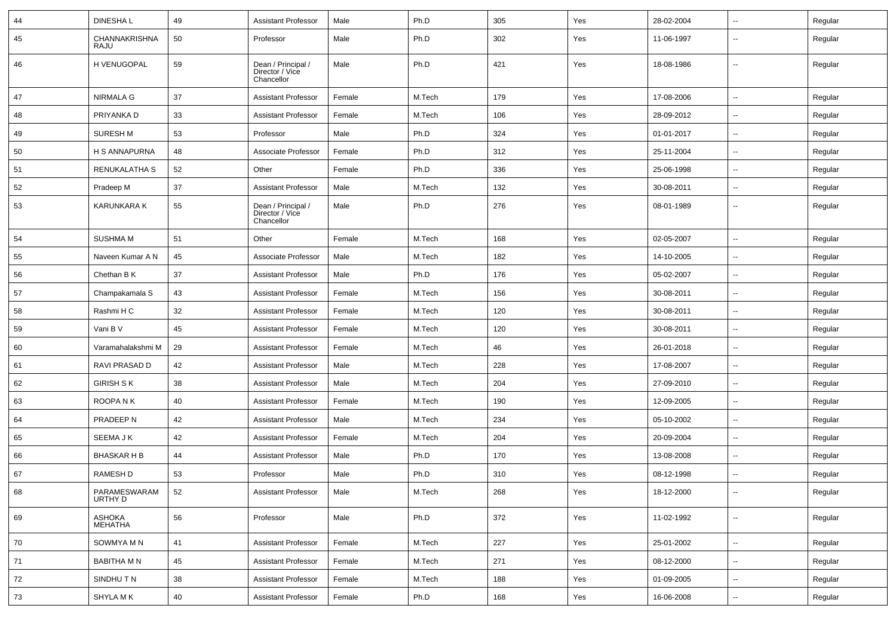| 44 | <b>DINESHAL</b>         | 49 | <b>Assistant Professor</b>                          | Male   | Ph.D   | 305 | Yes | 28-02-2004 | ⊷.                       | Regular |
|----|-------------------------|----|-----------------------------------------------------|--------|--------|-----|-----|------------|--------------------------|---------|
| 45 | CHANNAKRISHNA<br>RAJU   | 50 | Professor                                           | Male   | Ph.D   | 302 | Yes | 11-06-1997 | --                       | Regular |
| 46 | H VENUGOPAL             | 59 | Dean / Principal /<br>Director / Vice<br>Chancellor | Male   | Ph.D   | 421 | Yes | 18-08-1986 | --                       | Regular |
| 47 | <b>NIRMALA G</b>        | 37 | <b>Assistant Professor</b>                          | Female | M.Tech | 179 | Yes | 17-08-2006 | ⊷.                       | Regular |
| 48 | PRIYANKA D              | 33 | <b>Assistant Professor</b>                          | Female | M.Tech | 106 | Yes | 28-09-2012 | $\overline{\phantom{a}}$ | Regular |
| 49 | <b>SURESH M</b>         | 53 | Professor                                           | Male   | Ph.D   | 324 | Yes | 01-01-2017 | $\overline{\phantom{a}}$ | Regular |
| 50 | H S ANNAPURNA           | 48 | Associate Professor                                 | Female | Ph.D   | 312 | Yes | 25-11-2004 | --                       | Regular |
| 51 | RENUKALATHA S           | 52 | Other                                               | Female | Ph.D   | 336 | Yes | 25-06-1998 | $\overline{\phantom{a}}$ | Regular |
| 52 | Pradeep M               | 37 | <b>Assistant Professor</b>                          | Male   | M.Tech | 132 | Yes | 30-08-2011 | ⊷.                       | Regular |
| 53 | <b>KARUNKARA K</b>      | 55 | Dean / Principal /<br>Director / Vice<br>Chancellor | Male   | Ph.D   | 276 | Yes | 08-01-1989 | $\overline{\phantom{a}}$ | Regular |
| 54 | <b>SUSHMA M</b>         | 51 | Other                                               | Female | M.Tech | 168 | Yes | 02-05-2007 | ⊷.                       | Regular |
| 55 | Naveen Kumar A N        | 45 | Associate Professor                                 | Male   | M.Tech | 182 | Yes | 14-10-2005 | ⊷.                       | Regular |
| 56 | Chethan B K             | 37 | <b>Assistant Professor</b>                          | Male   | Ph.D   | 176 | Yes | 05-02-2007 | $\overline{\phantom{a}}$ | Regular |
| 57 | Champakamala S          | 43 | <b>Assistant Professor</b>                          | Female | M.Tech | 156 | Yes | 30-08-2011 | --                       | Regular |
| 58 | Rashmi H C              | 32 | <b>Assistant Professor</b>                          | Female | M.Tech | 120 | Yes | 30-08-2011 | --                       | Regular |
| 59 | Vani B V                | 45 | <b>Assistant Professor</b>                          | Female | M.Tech | 120 | Yes | 30-08-2011 | $\overline{\phantom{a}}$ | Regular |
| 60 | Varamahalakshmi M       | 29 | <b>Assistant Professor</b>                          | Female | M.Tech | 46  | Yes | 26-01-2018 | ⊷.                       | Regular |
| 61 | RAVI PRASAD D           | 42 | <b>Assistant Professor</b>                          | Male   | M.Tech | 228 | Yes | 17-08-2007 | ⊷.                       | Regular |
| 62 | <b>GIRISH S K</b>       | 38 | <b>Assistant Professor</b>                          | Male   | M.Tech | 204 | Yes | 27-09-2010 | $\overline{\phantom{a}}$ | Regular |
| 63 | ROOPANK                 | 40 | <b>Assistant Professor</b>                          | Female | M.Tech | 190 | Yes | 12-09-2005 | --                       | Regular |
| 64 | PRADEEP N               | 42 | <b>Assistant Professor</b>                          | Male   | M.Tech | 234 | Yes | 05-10-2002 | н.                       | Regular |
| 65 | SEEMA J K               | 42 | <b>Assistant Professor</b>                          | Female | M.Tech | 204 | Yes | 20-09-2004 | н.                       | Regular |
| 66 | <b>BHASKAR H B</b>      | 44 | <b>Assistant Professor</b>                          | Male   | Ph.D   | 170 | Yes | 13-08-2008 | ⊷.                       | Regular |
| 67 | RAMESH D                | 53 | Professor                                           | Male   | Ph.D   | 310 | Yes | 08-12-1998 | ⊷.                       | Regular |
| 68 | PARAMESWARAM<br>URTHY D | 52 | <b>Assistant Professor</b>                          | Male   | M.Tech | 268 | Yes | 18-12-2000 | $\overline{\phantom{a}}$ | Regular |
| 69 | ASHOKA<br>MEHATHA       | 56 | Professor                                           | Male   | Ph.D   | 372 | Yes | 11-02-1992 | $\sim$                   | Regular |
| 70 | SOWMYA M N              | 41 | <b>Assistant Professor</b>                          | Female | M.Tech | 227 | Yes | 25-01-2002 | н.                       | Regular |
| 71 | BABITHA M N             | 45 | <b>Assistant Professor</b>                          | Female | M.Tech | 271 | Yes | 08-12-2000 | $\sim$                   | Regular |
| 72 | SINDHUTN                | 38 | <b>Assistant Professor</b>                          | Female | M.Tech | 188 | Yes | 01-09-2005 | ⊷.                       | Regular |
| 73 | SHYLA M K               | 40 | <b>Assistant Professor</b>                          | Female | Ph.D   | 168 | Yes | 16-06-2008 | $\sim$                   | Regular |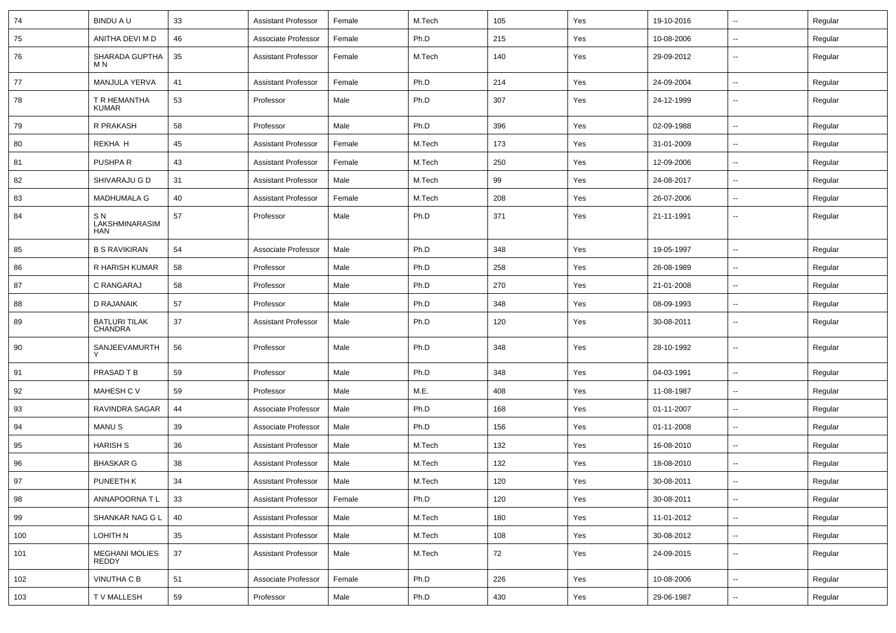| 74  | <b>BINDU A U</b>                       | 33     | <b>Assistant Professor</b> | Female | M.Tech | 105 | Yes | 19-10-2016 | $\sim$                   | Regular |
|-----|----------------------------------------|--------|----------------------------|--------|--------|-----|-----|------------|--------------------------|---------|
| 75  | ANITHA DEVI M D                        | 46     | Associate Professor        | Female | Ph.D   | 215 | Yes | 10-08-2006 | Ξ.                       | Regular |
| 76  | SHARADA GUPTHA<br>M N                  | 35     | <b>Assistant Professor</b> | Female | M.Tech | 140 | Yes | 29-09-2012 | $\sim$                   | Regular |
| 77  | <b>MANJULA YERVA</b>                   | 41     | <b>Assistant Professor</b> | Female | Ph.D   | 214 | Yes | 24-09-2004 | Ξ.                       | Regular |
| 78  | T R HEMANTHA<br><b>KUMAR</b>           | 53     | Professor                  | Male   | Ph.D   | 307 | Yes | 24-12-1999 | $- -$                    | Regular |
| 79  | R PRAKASH                              | 58     | Professor                  | Male   | Ph.D   | 396 | Yes | 02-09-1988 | $\overline{\phantom{a}}$ | Regular |
| 80  | REKHA H                                | 45     | <b>Assistant Professor</b> | Female | M.Tech | 173 | Yes | 31-01-2009 | $\overline{a}$           | Regular |
| 81  | PUSHPA R                               | 43     | <b>Assistant Professor</b> | Female | M.Tech | 250 | Yes | 12-09-2006 | $\sim$                   | Regular |
| 82  | SHIVARAJU G D                          | 31     | <b>Assistant Professor</b> | Male   | M.Tech | 99  | Yes | 24-08-2017 | $\sim$                   | Regular |
| 83  | <b>MADHUMALA G</b>                     | 40     | <b>Assistant Professor</b> | Female | M.Tech | 208 | Yes | 26-07-2006 | $\sim$                   | Regular |
| 84  | S N<br>LAKSHMINARASIM<br>HAN           | 57     | Professor                  | Male   | Ph.D   | 371 | Yes | 21-11-1991 | --                       | Regular |
| 85  | <b>B S RAVIKIRAN</b>                   | 54     | Associate Professor        | Male   | Ph.D   | 348 | Yes | 19-05-1997 | $\overline{\phantom{a}}$ | Regular |
| 86  | R HARISH KUMAR                         | 58     | Professor                  | Male   | Ph.D   | 258 | Yes | 26-08-1989 | Ξ.                       | Regular |
| 87  | C RANGARAJ                             | 58     | Professor                  | Male   | Ph.D   | 270 | Yes | 21-01-2008 | $\overline{a}$           | Regular |
| 88  | <b>D RAJANAIK</b>                      | 57     | Professor                  | Male   | Ph.D   | 348 | Yes | 08-09-1993 | $\sim$                   | Regular |
| 89  | <b>BATLURI TILAK</b><br><b>CHANDRA</b> | 37     | <b>Assistant Professor</b> | Male   | Ph.D   | 120 | Yes | 30-08-2011 | $\sim$                   | Regular |
| 90  | SANJEEVAMURTH                          | 56     | Professor                  | Male   | Ph.D   | 348 | Yes | 28-10-1992 | $\sim$                   | Regular |
| 91  | PRASAD T B                             | 59     | Professor                  | Male   | Ph.D   | 348 | Yes | 04-03-1991 | $\sim$                   | Regular |
| 92  | MAHESH C V                             | 59     | Professor                  | Male   | M.E.   | 408 | Yes | 11-08-1987 | $\sim$                   | Regular |
| 93  | RAVINDRA SAGAR                         | 44     | Associate Professor        | Male   | Ph.D   | 168 | Yes | 01-11-2007 | $\sim$                   | Regular |
| 94  | <b>MANUS</b>                           | 39     | Associate Professor        | Male   | Ph.D   | 156 | Yes | 01-11-2008 | Ξ.                       | Regular |
| 95  | <b>HARISH S</b>                        | 36     | <b>Assistant Professor</b> | Male   | M.Tech | 132 | Yes | 16-08-2010 | $\overline{\phantom{a}}$ | Regular |
| 96  | <b>BHASKAR G</b>                       | 38     | <b>Assistant Professor</b> | Male   | M.Tech | 132 | Yes | 18-08-2010 | $\sim$                   | Regular |
| 97  | PUNEETH K                              | 34     | <b>Assistant Professor</b> | Male   | M.Tech | 120 | Yes | 30-08-2011 | $\sim$                   | Regular |
| 98  | ANNAPOORNA TL                          | 33     | <b>Assistant Professor</b> | Female | Ph.D   | 120 | Yes | 30-08-2011 | $\overline{\phantom{a}}$ | Regular |
| 99  | SHANKAR NAG G L                        | 40     | <b>Assistant Professor</b> | Male   | M.Tech | 180 | Yes | 11-01-2012 | $\overline{\phantom{a}}$ | Regular |
| 100 | LOHITH N                               | 35     | <b>Assistant Professor</b> | Male   | M.Tech | 108 | Yes | 30-08-2012 | $\overline{\phantom{a}}$ | Regular |
| 101 | <b>MEGHANI MOLIES</b><br><b>REDDY</b>  | $37\,$ | <b>Assistant Professor</b> | Male   | M.Tech | 72  | Yes | 24-09-2015 | $\sim$                   | Regular |
| 102 | VINUTHA C B                            | 51     | Associate Professor        | Female | Ph.D   | 226 | Yes | 10-08-2006 | $\sim$                   | Regular |
| 103 | T V MALLESH                            | 59     | Professor                  | Male   | Ph.D   | 430 | Yes | 29-06-1987 | $\overline{\phantom{a}}$ | Regular |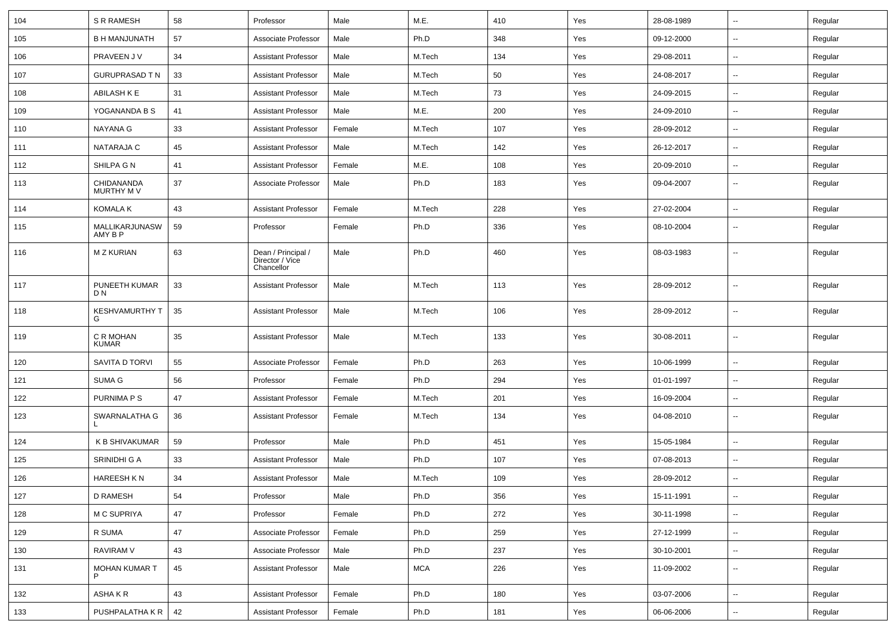| 104 | <b>S R RAMESH</b>               | 58 | Professor                                           | Male   | M.E.   | 410 | Yes | 28-08-1989 | $\sim$                   | Regular |
|-----|---------------------------------|----|-----------------------------------------------------|--------|--------|-----|-----|------------|--------------------------|---------|
| 105 | <b>B H MANJUNATH</b>            | 57 | Associate Professor                                 | Male   | Ph.D   | 348 | Yes | 09-12-2000 | $\sim$                   | Regular |
| 106 | PRAVEEN J V                     | 34 | <b>Assistant Professor</b>                          | Male   | M.Tech | 134 | Yes | 29-08-2011 | $\overline{\phantom{a}}$ | Regular |
| 107 | <b>GURUPRASAD T N</b>           | 33 | <b>Assistant Professor</b>                          | Male   | M.Tech | 50  | Yes | 24-08-2017 | $\sim$                   | Regular |
| 108 | ABILASH K E                     | 31 | <b>Assistant Professor</b>                          | Male   | M.Tech | 73  | Yes | 24-09-2015 | $\sim$                   | Regular |
| 109 | YOGANANDA B S                   | 41 | <b>Assistant Professor</b>                          | Male   | M.E.   | 200 | Yes | 24-09-2010 | $\sim$                   | Regular |
| 110 | <b>NAYANA G</b>                 | 33 | <b>Assistant Professor</b>                          | Female | M.Tech | 107 | Yes | 28-09-2012 | $\sim$                   | Regular |
| 111 | NATARAJA C                      | 45 | <b>Assistant Professor</b>                          | Male   | M.Tech | 142 | Yes | 26-12-2017 | $\sim$                   | Regular |
| 112 | SHILPA G N                      | 41 | <b>Assistant Professor</b>                          | Female | M.E.   | 108 | Yes | 20-09-2010 | $\overline{\phantom{a}}$ | Regular |
| 113 | CHIDANANDA<br>MURTHY M V        | 37 | Associate Professor                                 | Male   | Ph.D   | 183 | Yes | 09-04-2007 | $\sim$                   | Regular |
| 114 | <b>KOMALA K</b>                 | 43 | <b>Assistant Professor</b>                          | Female | M.Tech | 228 | Yes | 27-02-2004 | $\sim$                   | Regular |
| 115 | MALLIKARJUNASW<br>AMY B P       | 59 | Professor                                           | Female | Ph.D   | 336 | Yes | 08-10-2004 | $\sim$                   | Regular |
| 116 | <b>M Z KURIAN</b>               | 63 | Dean / Principal /<br>Director / Vice<br>Chancellor | Male   | Ph.D   | 460 | Yes | 08-03-1983 | $\sim$                   | Regular |
| 117 | PUNEETH KUMAR<br>D <sub>N</sub> | 33 | <b>Assistant Professor</b>                          | Male   | M.Tech | 113 | Yes | 28-09-2012 | $\sim$                   | Regular |
| 118 | <b>KESHVAMURTHY T</b><br>G      | 35 | <b>Assistant Professor</b>                          | Male   | M.Tech | 106 | Yes | 28-09-2012 | $\sim$                   | Regular |
| 119 | C R MOHAN<br><b>KUMAR</b>       | 35 | <b>Assistant Professor</b>                          | Male   | M.Tech | 133 | Yes | 30-08-2011 | $\overline{\phantom{a}}$ | Regular |
| 120 | SAVITA D TORVI                  | 55 | Associate Professor                                 | Female | Ph.D   | 263 | Yes | 10-06-1999 | $\sim$                   | Regular |
| 121 | SUMA G                          | 56 | Professor                                           | Female | Ph.D   | 294 | Yes | 01-01-1997 | $\sim$                   | Regular |
| 122 | PURNIMA P S                     | 47 | <b>Assistant Professor</b>                          | Female | M.Tech | 201 | Yes | 16-09-2004 | $\overline{\phantom{a}}$ | Regular |
| 123 | SWARNALATHA G                   | 36 | <b>Assistant Professor</b>                          | Female | M.Tech | 134 | Yes | 04-08-2010 | $\sim$                   | Regular |
| 124 | K B SHIVAKUMAR                  | 59 | Professor                                           | Male   | Ph.D   | 451 | Yes | 15-05-1984 | $\sim$                   | Regular |
| 125 | SRINIDHI G A                    | 33 | <b>Assistant Professor</b>                          | Male   | Ph.D   | 107 | Yes | 07-08-2013 | $\sim$                   | Regular |
| 126 | <b>HAREESH KN</b>               | 34 | <b>Assistant Professor</b>                          | Male   | M.Tech | 109 | Yes | 28-09-2012 |                          | Regular |
| 127 | D RAMESH                        | 54 | Professor                                           | Male   | Ph.D   | 356 | Yes | 15-11-1991 | $\overline{\phantom{a}}$ | Regular |
| 128 | M C SUPRIYA                     | 47 | Professor                                           | Female | Ph.D   | 272 | Yes | 30-11-1998 | $\sim$                   | Regular |
| 129 | R SUMA                          | 47 | Associate Professor                                 | Female | Ph.D   | 259 | Yes | 27-12-1999 | $\sim$                   | Regular |
| 130 | RAVIRAM V                       | 43 | Associate Professor                                 | Male   | Ph.D   | 237 | Yes | 30-10-2001 | $\sim$                   | Regular |
| 131 | MOHAN KUMAR T                   | 45 | <b>Assistant Professor</b>                          | Male   | MCA    | 226 | Yes | 11-09-2002 | $\sim$                   | Regular |
| 132 | ASHA K R                        | 43 | <b>Assistant Professor</b>                          | Female | Ph.D   | 180 | Yes | 03-07-2006 | $\sim$                   | Regular |
| 133 | PUSHPALATHA K R                 | 42 | Assistant Professor                                 | Female | Ph.D   | 181 | Yes | 06-06-2006 | $\sim$                   | Regular |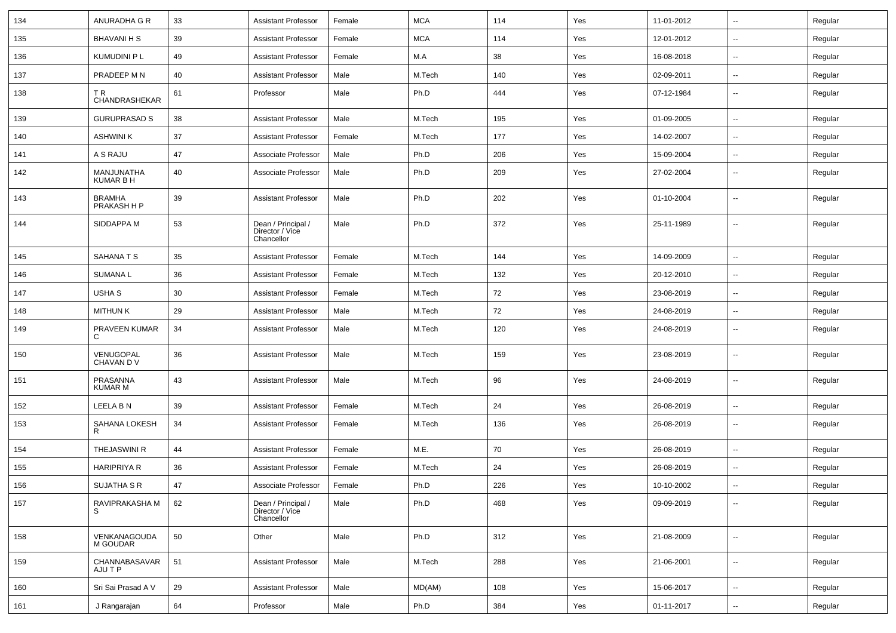| 134 | ANURADHA G R                   | 33 | <b>Assistant Professor</b>                          | Female | <b>MCA</b> | 114 | Yes | 11-01-2012 | $\sim$                   | Regular |
|-----|--------------------------------|----|-----------------------------------------------------|--------|------------|-----|-----|------------|--------------------------|---------|
| 135 | <b>BHAVANI H S</b>             | 39 | <b>Assistant Professor</b>                          | Female | <b>MCA</b> | 114 | Yes | 12-01-2012 | $\sim$                   | Regular |
| 136 | KUMUDINI P L                   | 49 | <b>Assistant Professor</b>                          | Female | M.A        | 38  | Yes | 16-08-2018 | $\mathbf{u}$             | Regular |
| 137 | PRADEEP M N                    | 40 | <b>Assistant Professor</b>                          | Male   | M.Tech     | 140 | Yes | 02-09-2011 | $\overline{\phantom{a}}$ | Regular |
| 138 | ΤR<br>CHANDRASHEKAR            | 61 | Professor                                           | Male   | Ph.D       | 444 | Yes | 07-12-1984 | $\overline{\phantom{a}}$ | Regular |
| 139 | <b>GURUPRASAD S</b>            | 38 | <b>Assistant Professor</b>                          | Male   | M.Tech     | 195 | Yes | 01-09-2005 | $\mathbf{u}$             | Regular |
| 140 | <b>ASHWINI K</b>               | 37 | <b>Assistant Professor</b>                          | Female | M.Tech     | 177 | Yes | 14-02-2007 | $\mathbf{u}$             | Regular |
| 141 | A S RAJU                       | 47 | Associate Professor                                 | Male   | Ph.D       | 206 | Yes | 15-09-2004 | $\sim$                   | Regular |
| 142 | MANJUNATHA<br><b>KUMAR B H</b> | 40 | Associate Professor                                 | Male   | Ph.D       | 209 | Yes | 27-02-2004 | $\sim$                   | Regular |
| 143 | <b>BRAMHA</b><br>PRAKASH H P   | 39 | Assistant Professor                                 | Male   | Ph.D       | 202 | Yes | 01-10-2004 | $\sim$                   | Regular |
| 144 | SIDDAPPA M                     | 53 | Dean / Principal /<br>Director / Vice<br>Chancellor | Male   | Ph.D       | 372 | Yes | 25-11-1989 | $\mathbf{u}$             | Regular |
| 145 | SAHANA T S                     | 35 | <b>Assistant Professor</b>                          | Female | M.Tech     | 144 | Yes | 14-09-2009 | $\sim$                   | Regular |
| 146 | <b>SUMANAL</b>                 | 36 | Assistant Professor                                 | Female | M.Tech     | 132 | Yes | 20-12-2010 | $\sim$                   | Regular |
| 147 | USHA S                         | 30 | Assistant Professor                                 | Female | M.Tech     | 72  | Yes | 23-08-2019 | $\overline{\phantom{a}}$ | Regular |
| 148 | <b>MITHUN K</b>                | 29 | <b>Assistant Professor</b>                          | Male   | M.Tech     | 72  | Yes | 24-08-2019 | $\overline{\phantom{a}}$ | Regular |
| 149 | PRAVEEN KUMAR<br>C             | 34 | Assistant Professor                                 | Male   | M.Tech     | 120 | Yes | 24-08-2019 | $\overline{\phantom{a}}$ | Regular |
| 150 | VENUGOPAL<br>CHAVAN D V        | 36 | <b>Assistant Professor</b>                          | Male   | M.Tech     | 159 | Yes | 23-08-2019 | $\overline{\phantom{a}}$ | Regular |
| 151 | PRASANNA<br><b>KUMAR M</b>     | 43 | <b>Assistant Professor</b>                          | Male   | M.Tech     | 96  | Yes | 24-08-2019 | $\overline{\phantom{a}}$ | Regular |
| 152 | LEELA B N                      | 39 | <b>Assistant Professor</b>                          | Female | M.Tech     | 24  | Yes | 26-08-2019 | $\mathbf{u}$             | Regular |
| 153 | SAHANA LOKESH<br>R             | 34 | <b>Assistant Professor</b>                          | Female | M.Tech     | 136 | Yes | 26-08-2019 | $\overline{\phantom{a}}$ | Regular |
| 154 | <b>THEJASWINI R</b>            | 44 | <b>Assistant Professor</b>                          | Female | M.E.       | 70  | Yes | 26-08-2019 | $\mathbf{u}$             | Regular |
| 155 | <b>HARIPRIYA R</b>             | 36 | <b>Assistant Professor</b>                          | Female | M.Tech     | 24  | Yes | 26-08-2019 | $\mathbf{u}$             | Regular |
| 156 | SUJATHA S R                    | 47 | Associate Professor                                 | Female | Ph.D       | 226 | Yes | 10-10-2002 | $\overline{\phantom{a}}$ | Regular |
| 157 | RAVIPRAKASHA M<br>S            | 62 | Dean / Principal /<br>Director / Vice<br>Chancellor | Male   | Ph.D       | 468 | Yes | 09-09-2019 | $\overline{\phantom{a}}$ | Regular |
| 158 | VENKANAGOUDA<br>M GOUDAR       | 50 | Other                                               | Male   | Ph.D       | 312 | Yes | 21-08-2009 | $\sim$                   | Regular |
| 159 | CHANNABASAVAR<br>AJU T P       | 51 | <b>Assistant Professor</b>                          | Male   | M.Tech     | 288 | Yes | 21-06-2001 | $\sim$                   | Regular |
| 160 | Sri Sai Prasad A V             | 29 | Assistant Professor                                 | Male   | MD(AM)     | 108 | Yes | 15-06-2017 | $\sim$                   | Regular |
| 161 | J Rangarajan                   | 64 | Professor                                           | Male   | Ph.D       | 384 | Yes | 01-11-2017 | --                       | Regular |